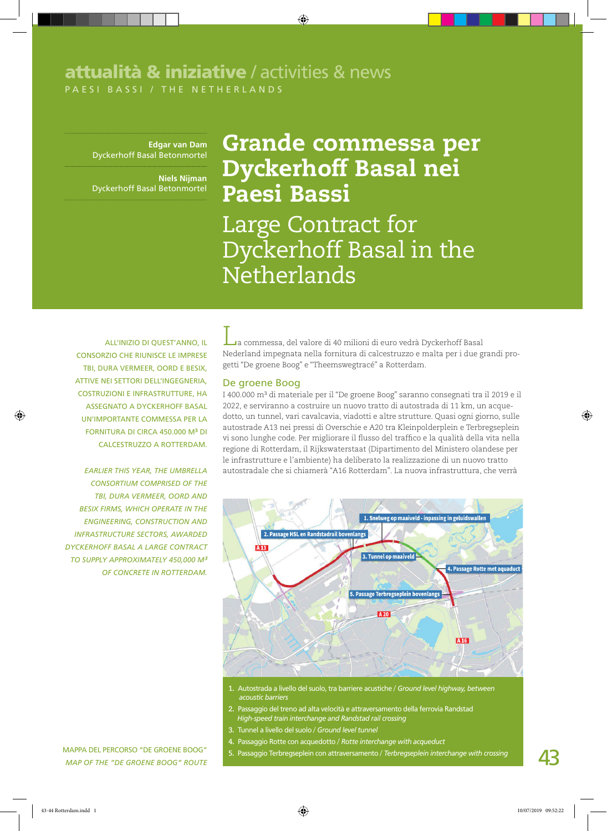## P A ESI BA SSI / THE NETHERL A N D S attualità & iniziative / activities & news

**Edgar van Dam** Dyckerhoff Basal Betonmortel

**Niels Nijman**  Dyckerhoff Basal Betonmortel

# Grande commessa per Dyckerhoff Basal nei Paesi Bassi

Large Contract for Dyckerhoff Basal in the **Netherlands** 

All'inizio di quest'anno, il consorzio che riunisce le imprese TBI, Dura Vermeer, Oord e BESIX, attive nei settori dell'ingegneria, costruzioni e infrastrutture, ha assegnato a Dyckerhoff Basal un'importante commessa per la fornitura di circa 450.000 m³ di calcestruzzo a Rotterdam.

*Earlier this year, the umbrella consortium comprised of the TBI, Dura Vermeer, Oord and BESIX firms, which operate in the engineering, construction and infrastructure sectors, awarded Dyckerhoff Basal a large contract to supply approximately 450,000 m³ of concrete in Rotterdam.*

La commessa, del valore di 40 milioni di euro vedrà Dyckerhoff Basal Nederland impegnata nella fornitura di calcestruzzo e malta per i due grandi progetti "De groene Boog" e "Theemswegtracé" a Rotterdam.

#### De groene Boog

I 400.000 m³ di materiale per il "De groene Boog" saranno consegnati tra il 2019 e il 2022, e serviranno a costruire un nuovo tratto di autostrada di 11 km, un acquedotto, un tunnel, vari cavalcavia, viadotti e altre strutture. Quasi ogni giorno, sulle autostrade A13 nei pressi di Overschie e A20 tra Kleinpolderplein e Terbregseplein vi sono lunghe code. Per migliorare il flusso del traffico e la qualità della vita nella regione di Rotterdam, il Rijkswaterstaat (Dipartimento del Ministero olandese per le infrastrutture e l'ambiente) ha deliberato la realizzazione di un nuovo tratto autostradale che si chiamerà "A16 Rotterdam". La nuova infrastruttura, che verrà



- **1.** Autostrada a livello del suolo, tra barriere acustiche / *Ground level highway, between acoustic barriers*
- **2.** Passaggio del treno ad alta velocità e attraversamento della ferrovia Randstad *High-speed train interchange and Randstad rail crossing*
- **3.** Tunnel a livello del suolo / *Ground level tunnel*
	- **4.** Passaggio Rotte con acquedotto / *Rotte interchange with acqueduct*

MAPPA DEL PERCORSO "DE GROENE BOOG" 5. Passaggio Terbregseplein con attraversamento / *Terbregseplein interchange with crossing* 

*Map of the "De Groene Boog" route*